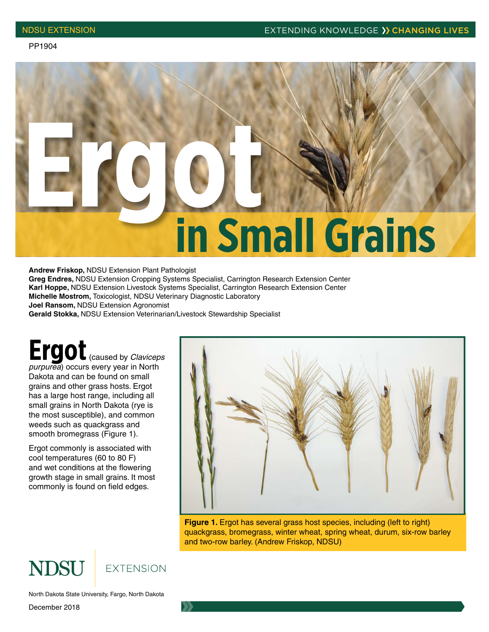

**Andrew Friskop,** NDSU Extension Plant Pathologist

**Greg Endres,** NDSU Extension Cropping Systems Specialist, Carrington Research Extension Center **Karl Hoppe,** NDSU Extension Livestock Systems Specialist, Carrington Research Extension Center **Michelle Mostrom,** Toxicologist, NDSU Veterinary Diagnostic Laboratory

**Joel Ransom,** NDSU Extension Agronomist

**Gerald Stokka,** NDSU Extension Veterinarian/Livestock Stewardship Specialist

**Ergot** (caused by *Claviceps purpurea*) occurs every year in North Dakota and can be found on small grains and other grass hosts. Ergot has a large host range, including all small grains in North Dakota (rye is the most susceptible), and common weeds such as quackgrass and smooth bromegrass (Figure 1).

Ergot commonly is associated with cool temperatures (60 to 80 F) and wet conditions at the flowering growth stage in small grains. It most commonly is found on field edges.



**Figure 1.** Ergot has several grass host species, including (left to right) quackgrass, bromegrass, winter wheat, spring wheat, durum, six-row barley and two-row barley. (Andrew Friskop, NDSU)

### **NDSU EXTENSION**

North Dakota State University, Fargo, North Dakota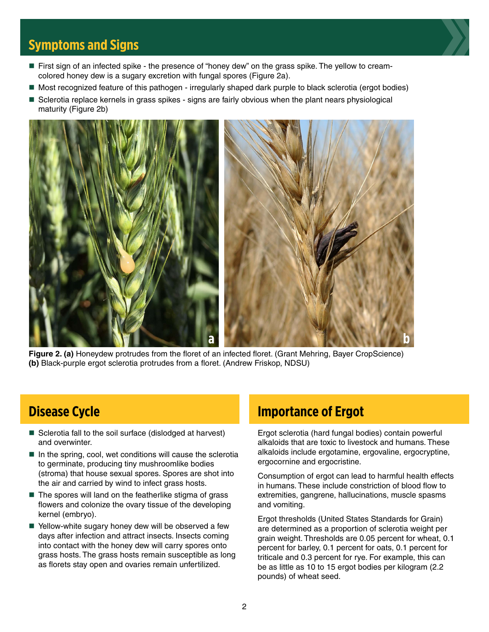## **Symptoms and Signs**

- First sign of an infected spike the presence of "honey dew" on the grass spike. The yellow to creamcolored honey dew is a sugary excretion with fungal spores (Figure 2a).
- Most recognized feature of this pathogen irregularly shaped dark purple to black sclerotia (ergot bodies)
- Sclerotia replace kernels in grass spikes signs are fairly obvious when the plant nears physiological maturity (Figure 2b)



**Figure 2. (a)** Honeydew protrudes from the floret of an infected floret. (Grant Mehring, Bayer CropScience) **(b)** Black-purple ergot sclerotia protrudes from a floret. (Andrew Friskop, NDSU)

## **Disease Cycle**

- Sclerotia fall to the soil surface (dislodged at harvest) and overwinter.
- $\blacksquare$  In the spring, cool, wet conditions will cause the sclerotia to germinate, producing tiny mushroomlike bodies (stroma) that house sexual spores. Spores are shot into the air and carried by wind to infect grass hosts.
- $\blacksquare$  The spores will land on the featherlike stigma of grass flowers and colonize the ovary tissue of the developing kernel (embryo).
- $\blacksquare$  Yellow-white sugary honey dew will be observed a few days after infection and attract insects. Insects coming into contact with the honey dew will carry spores onto grass hosts. The grass hosts remain susceptible as long as florets stay open and ovaries remain unfertilized.

## **Importance of Ergot**

Ergot sclerotia (hard fungal bodies) contain powerful alkaloids that are toxic to livestock and humans. These alkaloids include ergotamine, ergovaline, ergocryptine, ergocornine and ergocristine.

Consumption of ergot can lead to harmful health effects in humans. These include constriction of blood flow to extremities, gangrene, hallucinations, muscle spasms and vomiting.

Ergot thresholds (United States Standards for Grain) are determined as a proportion of sclerotia weight per grain weight. Thresholds are 0.05 percent for wheat, 0.1 percent for barley, 0.1 percent for oats, 0.1 percent for triticale and 0.3 percent for rye. For example, this can be as little as 10 to 15 ergot bodies per kilogram (2.2 pounds) of wheat seed.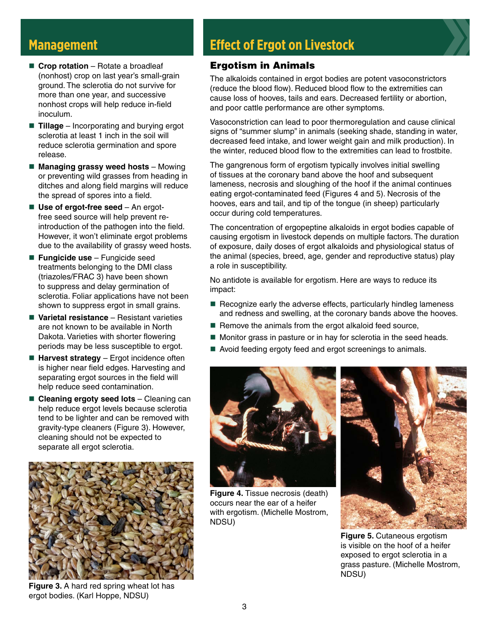### **Management**

- Crop rotation Rotate a broadleaf (nonhost) crop on last year's small-grain ground. The sclerotia do not survive for more than one year, and successive nonhost crops will help reduce in-field inoculum.
- **Tillage** Incorporating and burying ergot sclerotia at least 1 inch in the soil will reduce sclerotia germination and spore release.
- Managing grassy weed hosts Mowing or preventing wild grasses from heading in ditches and along field margins will reduce the spread of spores into a field.
- Use of ergot-free seed An ergotfree seed source will help prevent reintroduction of the pathogen into the field. However, it won't eliminate ergot problems due to the availability of grassy weed hosts.
- Fungicide use Fungicide seed treatments belonging to the DMI class (triazoles/FRAC 3) have been shown to suppress and delay germination of sclerotia. Foliar applications have not been shown to suppress ergot in small grains.
- Varietal resistance Resistant varieties are not known to be available in North Dakota. Varieties with shorter flowering periods may be less susceptible to ergot.
- Harvest strategy Ergot incidence often is higher near field edges. Harvesting and separating ergot sources in the field will help reduce seed contamination.
- Cleaning ergoty seed lots Cleaning can help reduce ergot levels because sclerotia tend to be lighter and can be removed with gravity-type cleaners (Figure 3). However, cleaning should not be expected to separate all ergot sclerotia.



**Figure 3.** A hard red spring wheat lot has ergot bodies. (Karl Hoppe, NDSU)

# **Effect of Ergot on Livestock**

#### Ergotism in Animals

The alkaloids contained in ergot bodies are potent vasoconstrictors (reduce the blood flow). Reduced blood flow to the extremities can cause loss of hooves, tails and ears. Decreased fertility or abortion, and poor cattle performance are other symptoms.

Vasoconstriction can lead to poor thermoregulation and cause clinical signs of "summer slump" in animals (seeking shade, standing in water, decreased feed intake, and lower weight gain and milk production). In the winter, reduced blood flow to the extremities can lead to frostbite.

The gangrenous form of ergotism typically involves initial swelling of tissues at the coronary band above the hoof and subsequent lameness, necrosis and sloughing of the hoof if the animal continues eating ergot-contaminated feed (Figures 4 and 5). Necrosis of the hooves, ears and tail, and tip of the tongue (in sheep) particularly occur during cold temperatures.

The concentration of ergopeptine alkaloids in ergot bodies capable of causing ergotism in livestock depends on multiple factors. The duration of exposure, daily doses of ergot alkaloids and physiological status of the animal (species, breed, age, gender and reproductive status) play a role in susceptibility.

No antidote is available for ergotism. Here are ways to reduce its impact:

- $\blacksquare$  Recognize early the adverse effects, particularly hindleg lameness and redness and swelling, at the coronary bands above the hooves.
- $\blacksquare$  Remove the animals from the ergot alkaloid feed source,
- Monitor grass in pasture or in hay for sclerotia in the seed heads.
- Avoid feeding ergoty feed and ergot screenings to animals.



**Figure 4.** Tissue necrosis (death) occurs near the ear of a heifer with ergotism. (Michelle Mostrom, NDSU)



**Figure 5.** Cutaneous ergotism is visible on the hoof of a heifer exposed to ergot sclerotia in a grass pasture. (Michelle Mostrom, NDSU)